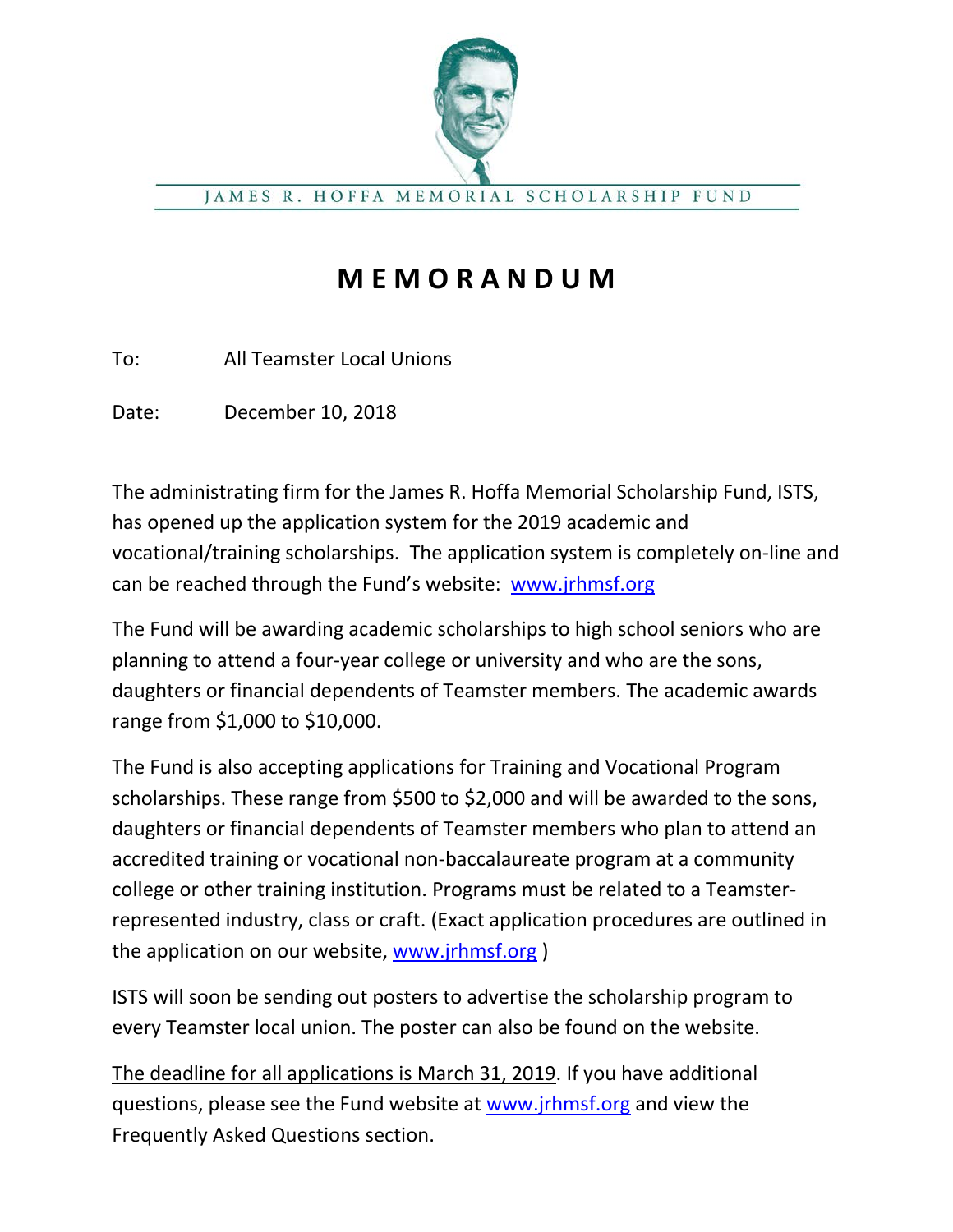

JAMES R. HOFFA MEMORIAL SCHOLARSHIP FUND

## **M E M O R A N D U M**

To: All Teamster Local Unions

Date: December 10, 2018

The administrating firm for the James R. Hoffa Memorial Scholarship Fund, ISTS, has opened up the application system for the 2019 academic and vocational/training scholarships. The application system is completely on-line and can be reached through the Fund's website: [www.jrhmsf.org](http://www.jrhmsf.org/)

The Fund will be awarding academic scholarships to high school seniors who are planning to attend a four-year college or university and who are the sons, daughters or financial dependents of Teamster members. The academic awards range from \$1,000 to \$10,000.

The Fund is also accepting applications for Training and Vocational Program scholarships. These range from \$500 to \$2,000 and will be awarded to the sons, daughters or financial dependents of Teamster members who plan to attend an accredited training or vocational non-baccalaureate program at a community college or other training institution. Programs must be related to a Teamsterrepresented industry, class or craft. (Exact application procedures are outlined in the application on our website, [www.jrhmsf.org](http://www.jrhmsf.org/) )

ISTS will soon be sending out posters to advertise the scholarship program to every Teamster local union. The poster can also be found on the website.

The deadline for all applications is March 31, 2019. If you have additional questions, please see the Fund website at [www.jrhmsf.org](http://www.jrhmsf.org/) and view the Frequently Asked Questions section.